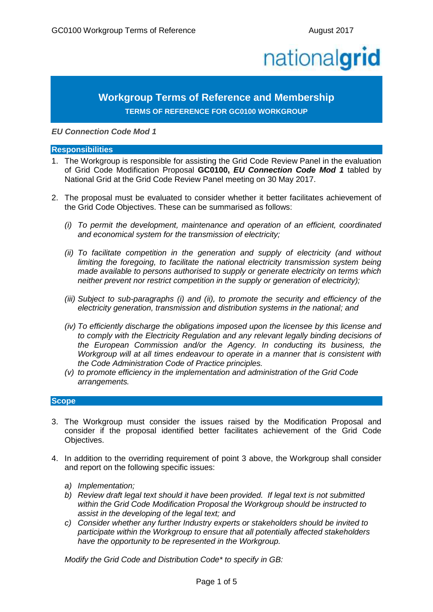# nationalgrid

# **Workgroup Terms of Reference and Membership TERMS OF REFERENCE FOR GC0100 WORKGROUP**

*EU Connection Code Mod 1*

#### **Responsibilities**

- 1. The Workgroup is responsible for assisting the Grid Code Review Panel in the evaluation of Grid Code Modification Proposal **GC0100,** *EU Connection Code Mod 1* tabled by National Grid at the Grid Code Review Panel meeting on 30 May 2017.
- 2. The proposal must be evaluated to consider whether it better facilitates achievement of the Grid Code Objectives. These can be summarised as follows:
	- *(i) To permit the development, maintenance and operation of an efficient, coordinated and economical system for the transmission of electricity;*
	- *(ii) To facilitate competition in the generation and supply of electricity (and without limiting the foregoing, to facilitate the national electricity transmission system being made available to persons authorised to supply or generate electricity on terms which neither prevent nor restrict competition in the supply or generation of electricity);*
	- *(iii) Subject to sub-paragraphs (i) and (ii), to promote the security and efficiency of the electricity generation, transmission and distribution systems in the national; and*
	- *(iv) To efficiently discharge the obligations imposed upon the licensee by this license and to comply with the Electricity Regulation and any relevant legally binding decisions of the European Commission and/or the Agency. In conducting its business, the Workgroup will at all times endeavour to operate in a manner that is consistent with the Code Administration Code of Practice principles.*
	- *(v) to promote efficiency in the implementation and administration of the Grid Code arrangements.*

### **Scope**

- 3. The Workgroup must consider the issues raised by the Modification Proposal and consider if the proposal identified better facilitates achievement of the Grid Code Objectives.
- 4. In addition to the overriding requirement of point 3 above, the Workgroup shall consider and report on the following specific issues:
	- *a) Implementation;*
	- *b) Review draft legal text should it have been provided. If legal text is not submitted within the Grid Code Modification Proposal the Workgroup should be instructed to assist in the developing of the legal text; and*
	- *c) Consider whether any further Industry experts or stakeholders should be invited to participate within the Workgroup to ensure that all potentially affected stakeholders have the opportunity to be represented in the Workgroup.*

*Modify the Grid Code and Distribution Code\* to specify in GB:*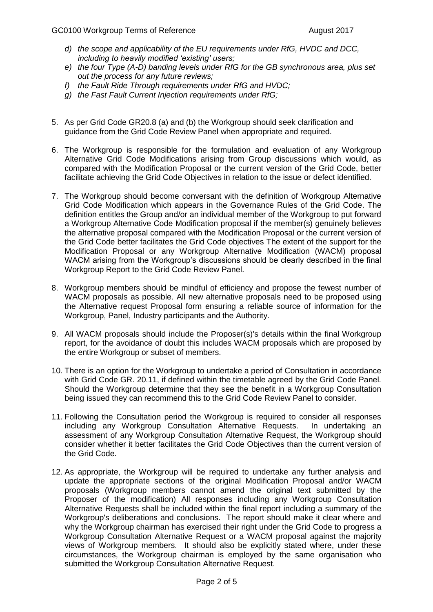- *d) the scope and applicability of the EU requirements under RfG, HVDC and DCC, including to heavily modified 'existing' users;*
- *e) the four Type (A-D) banding levels under RfG for the GB synchronous area, plus set out the process for any future reviews;*
- *f) the Fault Ride Through requirements under RfG and HVDC;*
- *g) the Fast Fault Current Injection requirements under RfG;*
- 5. As per Grid Code GR20.8 (a) and (b) the Workgroup should seek clarification and guidance from the Grid Code Review Panel when appropriate and required.
- 6. The Workgroup is responsible for the formulation and evaluation of any Workgroup Alternative Grid Code Modifications arising from Group discussions which would, as compared with the Modification Proposal or the current version of the Grid Code, better facilitate achieving the Grid Code Objectives in relation to the issue or defect identified.
- 7. The Workgroup should become conversant with the definition of Workgroup Alternative Grid Code Modification which appears in the Governance Rules of the Grid Code. The definition entitles the Group and/or an individual member of the Workgroup to put forward a Workgroup Alternative Code Modification proposal if the member(s) genuinely believes the alternative proposal compared with the Modification Proposal or the current version of the Grid Code better facilitates the Grid Code objectives The extent of the support for the Modification Proposal or any Workgroup Alternative Modification (WACM) proposal WACM arising from the Workgroup's discussions should be clearly described in the final Workgroup Report to the Grid Code Review Panel.
- 8. Workgroup members should be mindful of efficiency and propose the fewest number of WACM proposals as possible. All new alternative proposals need to be proposed using the Alternative request Proposal form ensuring a reliable source of information for the Workgroup, Panel, Industry participants and the Authority.
- 9. All WACM proposals should include the Proposer(s)'s details within the final Workgroup report, for the avoidance of doubt this includes WACM proposals which are proposed by the entire Workgroup or subset of members.
- 10. There is an option for the Workgroup to undertake a period of Consultation in accordance with Grid Code GR. 20.11, if defined within the timetable agreed by the Grid Code Panel. Should the Workgroup determine that they see the benefit in a Workgroup Consultation being issued they can recommend this to the Grid Code Review Panel to consider.
- 11. Following the Consultation period the Workgroup is required to consider all responses including any Workgroup Consultation Alternative Requests. In undertaking an assessment of any Workgroup Consultation Alternative Request, the Workgroup should consider whether it better facilitates the Grid Code Objectives than the current version of the Grid Code.
- 12. As appropriate, the Workgroup will be required to undertake any further analysis and update the appropriate sections of the original Modification Proposal and/or WACM proposals (Workgroup members cannot amend the original text submitted by the Proposer of the modification) All responses including any Workgroup Consultation Alternative Requests shall be included within the final report including a summary of the Workgroup's deliberations and conclusions. The report should make it clear where and why the Workgroup chairman has exercised their right under the Grid Code to progress a Workgroup Consultation Alternative Request or a WACM proposal against the majority views of Workgroup members. It should also be explicitly stated where, under these circumstances, the Workgroup chairman is employed by the same organisation who submitted the Workgroup Consultation Alternative Request.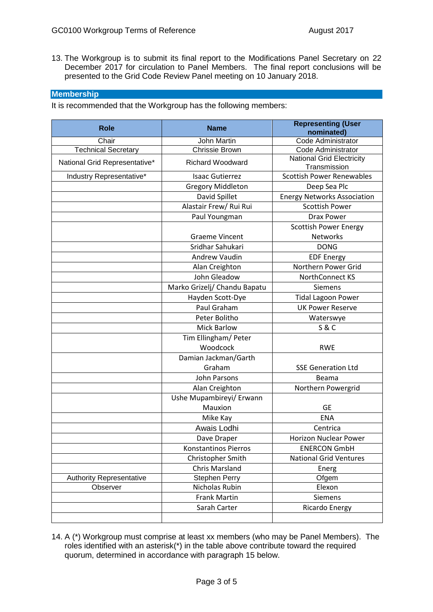13. The Workgroup is to submit its final report to the Modifications Panel Secretary on 22 December 2017 for circulation to Panel Members. The final report conclusions will be presented to the Grid Code Review Panel meeting on 10 January 2018.

## **Membership**

It is recommended that the Workgroup has the following members:

| <b>Role</b>                     | <b>Name</b>                  | <b>Representing (User</b>                        |
|---------------------------------|------------------------------|--------------------------------------------------|
|                                 |                              | nominated)                                       |
| Chair                           | John Martin                  | Code Administrator                               |
| <b>Technical Secretary</b>      | Chrissie Brown               | Code Administrator                               |
| National Grid Representative*   | <b>Richard Woodward</b>      | <b>National Grid Electricity</b>                 |
| Industry Representative*        | <b>Isaac Gutierrez</b>       | Transmission<br><b>Scottish Power Renewables</b> |
|                                 | <b>Gregory Middleton</b>     | Deep Sea Plc                                     |
|                                 | David Spillet                | <b>Energy Networks Association</b>               |
|                                 | Alastair Frew/ Rui Rui       | <b>Scottish Power</b>                            |
|                                 | Paul Youngman                | <b>Drax Power</b>                                |
|                                 |                              | <b>Scottish Power Energy</b>                     |
|                                 | <b>Graeme Vincent</b>        | <b>Networks</b>                                  |
|                                 | Sridhar Sahukari             | <b>DONG</b>                                      |
|                                 | <b>Andrew Vaudin</b>         | <b>EDF Energy</b>                                |
|                                 | Alan Creighton               | Northern Power Grid                              |
|                                 | John Gleadow                 | NorthConnect KS                                  |
|                                 | Marko Grizelj/ Chandu Bapatu | Siemens                                          |
|                                 | Hayden Scott-Dye             | <b>Tidal Lagoon Power</b>                        |
|                                 | Paul Graham                  | <b>UK Power Reserve</b>                          |
|                                 | Peter Bolitho                | Waterswye                                        |
|                                 | <b>Mick Barlow</b>           | <b>S&amp;C</b>                                   |
|                                 | Tim Ellingham/ Peter         |                                                  |
|                                 | Woodcock                     | <b>RWE</b>                                       |
|                                 | Damian Jackman/Garth         |                                                  |
|                                 | Graham                       | <b>SSE Generation Ltd</b>                        |
|                                 | John Parsons                 | Beama                                            |
|                                 | Alan Creighton               | Northern Powergrid                               |
|                                 | Ushe Mupambireyi/ Erwann     |                                                  |
|                                 | Mauxion                      | <b>GE</b>                                        |
|                                 | Mike Kay                     | <b>ENA</b>                                       |
|                                 | Awais Lodhi                  | Centrica                                         |
|                                 | Dave Draper                  | <b>Horizon Nuclear Power</b>                     |
|                                 | Konstantinos Pierros         | <b>ENERCON GmbH</b>                              |
|                                 | Christopher Smith            | <b>National Grid Ventures</b>                    |
|                                 | <b>Chris Marsland</b>        | Energ                                            |
| <b>Authority Representative</b> | <b>Stephen Perry</b>         | Ofgem                                            |
| Observer                        | Nicholas Rubin               | Elexon                                           |
|                                 | Frank Martin                 | Siemens                                          |
|                                 | Sarah Carter                 | Ricardo Energy                                   |
|                                 |                              |                                                  |

14. A (\*) Workgroup must comprise at least xx members (who may be Panel Members). The roles identified with an asterisk(\*) in the table above contribute toward the required quorum, determined in accordance with paragraph 15 below.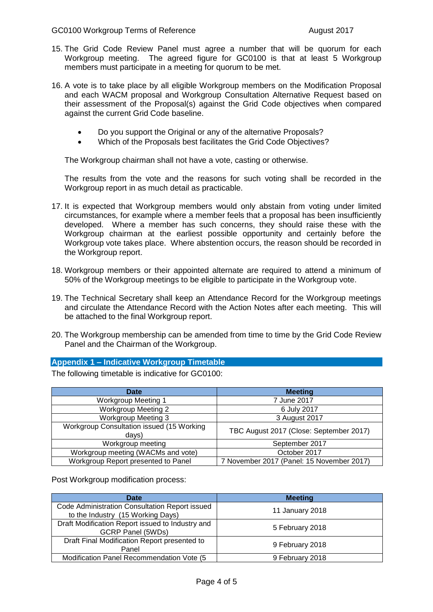- 15. The Grid Code Review Panel must agree a number that will be quorum for each Workgroup meeting. The agreed figure for GC0100 is that at least 5 Workgroup members must participate in a meeting for quorum to be met.
- 16. A vote is to take place by all eligible Workgroup members on the Modification Proposal and each WACM proposal and Workgroup Consultation Alternative Request based on their assessment of the Proposal(s) against the Grid Code objectives when compared against the current Grid Code baseline.
	- Do you support the Original or any of the alternative Proposals?
	- Which of the Proposals best facilitates the Grid Code Objectives?

The Workgroup chairman shall not have a vote, casting or otherwise.

The results from the vote and the reasons for such voting shall be recorded in the Workgroup report in as much detail as practicable.

- 17. It is expected that Workgroup members would only abstain from voting under limited circumstances, for example where a member feels that a proposal has been insufficiently developed. Where a member has such concerns, they should raise these with the Workgroup chairman at the earliest possible opportunity and certainly before the Workgroup vote takes place. Where abstention occurs, the reason should be recorded in the Workgroup report.
- 18. Workgroup members or their appointed alternate are required to attend a minimum of 50% of the Workgroup meetings to be eligible to participate in the Workgroup vote.
- 19. The Technical Secretary shall keep an Attendance Record for the Workgroup meetings and circulate the Attendance Record with the Action Notes after each meeting. This will be attached to the final Workgroup report.
- 20. The Workgroup membership can be amended from time to time by the Grid Code Review Panel and the Chairman of the Workgroup.

#### **Appendix 1 – Indicative Workgroup Timetable**

The following timetable is indicative for GC0100:

| <b>Date</b>                                        | <b>Meeting</b>                            |
|----------------------------------------------------|-------------------------------------------|
| <b>Workgroup Meeting 1</b>                         | 7 June 2017                               |
| <b>Workgroup Meeting 2</b>                         | 6 July 2017                               |
| <b>Workgroup Meeting 3</b>                         | 3 August 2017                             |
| Workgroup Consultation issued (15 Working<br>days) | TBC August 2017 (Close: September 2017)   |
| Workgroup meeting                                  | September 2017                            |
| Workgroup meeting (WACMs and vote)                 | October 2017                              |
| Workgroup Report presented to Panel                | 7 November 2017 (Panel: 15 November 2017) |

Post Workgroup modification process:

| Date                                                                                | <b>Meeting</b>  |
|-------------------------------------------------------------------------------------|-----------------|
| Code Administration Consultation Report issued<br>to the Industry (15 Working Days) | 11 January 2018 |
| Draft Modification Report issued to Industry and<br><b>GCRP Panel (5WDs)</b>        | 5 February 2018 |
| Draft Final Modification Report presented to<br>Panel                               | 9 February 2018 |
| Modification Panel Recommendation Vote (5)                                          | 9 February 2018 |